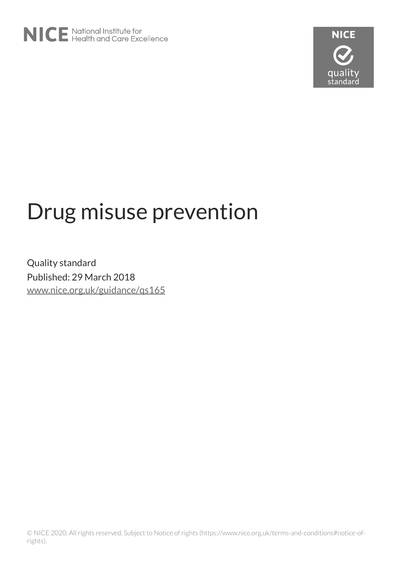

# Drug misuse prevention

Quality standard Published: 29 March 2018 [www.nice.org.uk/guidance/qs165](https://www.nice.org.uk/guidance/qs165)

© NICE 2020. All rights reserved. Subject to Notice of rights (https://www.nice.org.uk/terms-and-conditions#notice-ofrights).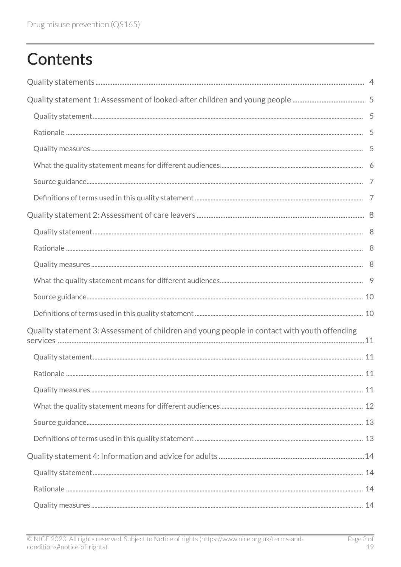# **Contents**

| Quality statement 3: Assessment of children and young people in contact with youth offending |  |
|----------------------------------------------------------------------------------------------|--|
|                                                                                              |  |
|                                                                                              |  |
|                                                                                              |  |
|                                                                                              |  |
|                                                                                              |  |
|                                                                                              |  |
|                                                                                              |  |
|                                                                                              |  |
|                                                                                              |  |
|                                                                                              |  |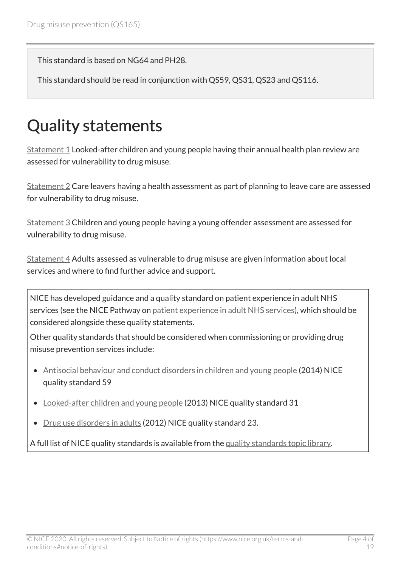This standard is based on NG64 and PH28.

This standard should be read in conjunction with QS59, QS31, QS23 and QS116.

# <span id="page-3-0"></span>Quality statements

[Statement 1](#page-4-0) Looked-after children and young people having their annual health plan review are assessed for vulnerability to drug misuse.

[Statement 2](#page-7-0) Care leavers having a health assessment as part of planning to leave care are assessed for vulnerability to drug misuse.

[Statement 3](#page-10-0) Children and young people having a young offender assessment are assessed for vulnerability to drug misuse.

[Statement 4](#page-13-0) Adults assessed as vulnerable to drug misuse are given information about local services and where to find further advice and support.

NICE has developed guidance and a quality standard on patient experience in adult NHS services (see the NICE Pathway on [patient experience in adult NHS services](http://pathways.nice.org.uk/pathways/patient-experience-in-adult-nhs-services)), which should be considered alongside these quality statements.

Other quality standards that should be considered when commissioning or providing drug misuse prevention services include:

- [Antisocial behaviour and conduct disorders in children and young people](https://www.nice.org.uk/guidance/qs59) (2014) NICE quality standard 59
- [Looked-after children and young people](https://www.nice.org.uk/guidance/qs31) (2013) NICE quality standard 31
- [Drug use disorders in adults](https://www.nice.org.uk/guidance/qs23) (2012) NICE quality standard 23.

A full list of NICE quality standards is available from the [quality standards topic library](http://www.nice.org.uk/Standards-and-Indicators/Developing-NICE-quality-standards-/Quality-standards-topic-library).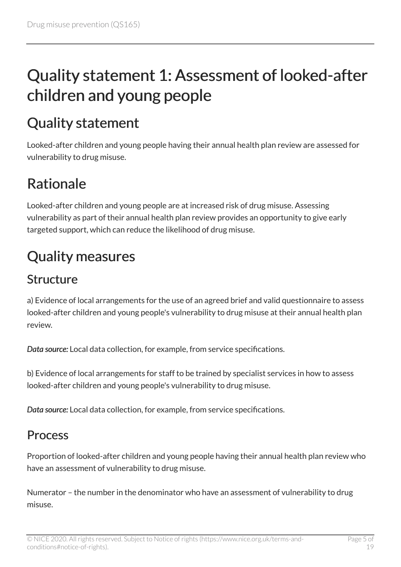# <span id="page-4-0"></span>Quality statement 1: Assessment of looked-after children and young people

# <span id="page-4-1"></span>Quality statement

Looked-after children and young people having their annual health plan review are assessed for vulnerability to drug misuse.

### <span id="page-4-2"></span>Rationale

Looked-after children and young people are at increased risk of drug misuse. Assessing vulnerability as part of their annual health plan review provides an opportunity to give early targeted support, which can reduce the likelihood of drug misuse.

# <span id="page-4-3"></span>Quality measures

#### Structure

a) Evidence of local arrangements for the use of an agreed brief and valid questionnaire to assess looked-after children and young people's vulnerability to drug misuse at their annual health plan review.

*Data source:* Local data collection, for example, from service specifications.

b) Evidence of local arrangements for staff to be trained by specialist services in how to assess looked-after children and young people's vulnerability to drug misuse.

*Data source:* Local data collection, for example, from service specifications.

#### **Process**

Proportion of looked-after children and young people having their annual health plan review who have an assessment of vulnerability to drug misuse.

Numerator – the number in the denominator who have an assessment of vulnerability to drug misuse.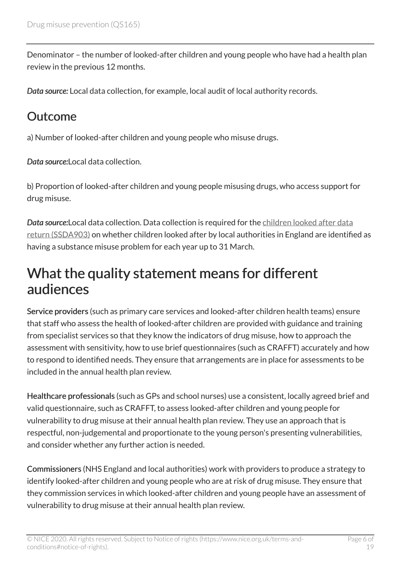Denominator – the number of looked-after children and young people who have had a health plan review in the previous 12 months.

*Data source:* Local data collection, for example, local audit of local authority records.

#### **Outcome**

a) Number of looked-after children and young people who misuse drugs.

*Data source:*Local data collection.

b) Proportion of looked-after children and young people misusing drugs, who access support for drug misuse.

*Data source:*Local data collection. Data collection is required for the [children looked after data](https://www.gov.uk/government/publications/children-looked-after-return-2017-to-2018-guide) [return \(SSDA903\)](https://www.gov.uk/government/publications/children-looked-after-return-2017-to-2018-guide) on whether children looked after by local authorities in England are identified as having a substance misuse problem for each year up to 31 March.

### <span id="page-5-0"></span>What the quality statement means for different audiences

Service providers (such as primary care services and looked-after children health teams) ensure that staff who assess the health of looked-after children are provided with guidance and training from specialist services so that they know the indicators of drug misuse, how to approach the assessment with sensitivity, how to use brief questionnaires (such as CRAFFT) accurately and how to respond to identified needs. They ensure that arrangements are in place for assessments to be included in the annual health plan review.

Healthcare professionals (such as GPs and school nurses) use a consistent, locally agreed brief and valid questionnaire, such as CRAFFT, to assess looked-after children and young people for vulnerability to drug misuse at their annual health plan review. They use an approach that is respectful, non-judgemental and proportionate to the young person's presenting vulnerabilities, and consider whether any further action is needed.

Commissioners (NHS England and local authorities) work with providers to produce a strategy to identify looked-after children and young people who are at risk of drug misuse. They ensure that they commission services in which looked-after children and young people have an assessment of vulnerability to drug misuse at their annual health plan review.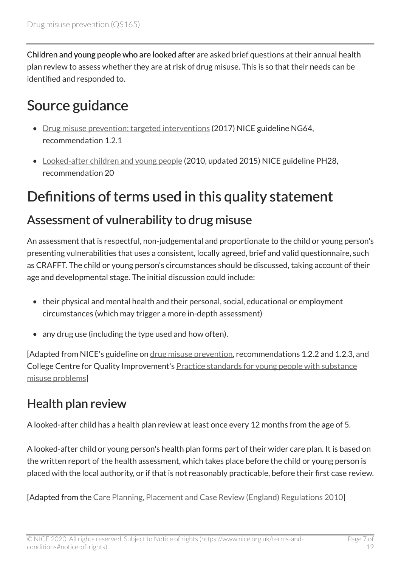Children and young people who are looked after are asked brief questions at their annual health plan review to assess whether they are at risk of drug misuse. This is so that their needs can be identified and responded to.

### <span id="page-6-0"></span>Source guidance

- [Drug misuse prevention: targeted interventions](https://www.nice.org.uk/guidance/ng64) (2017) NICE guideline NG64, recommendation 1.2.1
- [Looked-after children and young people](https://www.nice.org.uk/guidance/ph28) (2010, updated 2015) NICE guideline PH28, recommendation 20

### <span id="page-6-1"></span>Definitions of terms used in this quality statement

#### Assessment of vulnerability to drug misuse

An assessment that is respectful, non-judgemental and proportionate to the child or young person's presenting vulnerabilities that uses a consistent, locally agreed, brief and valid questionnaire, such as CRAFFT. The child or young person's circumstances should be discussed, taking account of their age and developmental stage. The initial discussion could include:

- their physical and mental health and their personal, social, educational or employment circumstances (which may trigger a more in-depth assessment)
- any drug use (including the type used and how often).

[Adapted from NICE's guideline on [drug misuse prevention,](https://www.nice.org.uk/guidance/ng64) recommendations 1.2.2 and 1.2.3, and College Centre for Quality Improvement's [Practice standards for young people with substance](https://www.rcpsych.ac.uk/improving-care/ccqi/quality-networks-accreditation/child-and-adolescent-community-teams-qncc/standards-and-publications) [misuse problems\]](https://www.rcpsych.ac.uk/improving-care/ccqi/quality-networks-accreditation/child-and-adolescent-community-teams-qncc/standards-and-publications)

#### Health plan review

A looked-after child has a health plan review at least once every 12 months from the age of 5.

A looked-after child or young person's health plan forms part of their wider care plan. It is based on the written report of the health assessment, which takes place before the child or young person is placed with the local authority, or if that is not reasonably practicable, before their first case review.

[Adapted from the [Care Planning, Placement and Case Review \(England\) Regulations 2010\]](http://www.legislation.gov.uk/uksi/2010/959/regulation/7/made)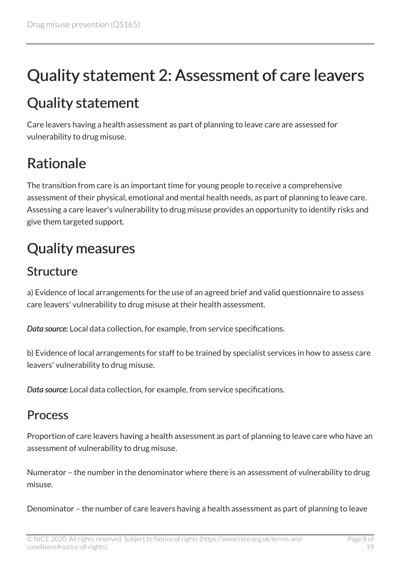# <span id="page-7-0"></span>Quality statement 2: Assessment of care leavers

### <span id="page-7-1"></span>Quality statement

Care leavers having a health assessment as part of planning to leave care are assessed for vulnerability to drug misuse.

### <span id="page-7-2"></span>Rationale

The transition from care is an important time for young people to receive a comprehensive assessment of their physical, emotional and mental health needs, as part of planning to leave care. Assessing a care leaver's vulnerability to drug misuse provides an opportunity to identify risks and give them targeted support.

### <span id="page-7-3"></span>Quality measures

#### Structure

a) Evidence of local arrangements for the use of an agreed brief and valid questionnaire to assess care leavers' vulnerability to drug misuse at their health assessment.

*Data source:* Local data collection, for example, from service specifications.

b) Evidence of local arrangements for staff to be trained by specialist services in how to assess care leavers' vulnerability to drug misuse.

*Data source:* Local data collection, for example, from service specifications.

#### **Process**

Proportion of care leavers having a health assessment as part of planning to leave care who have an assessment of vulnerability to drug misuse.

Numerator – the number in the denominator where there is an assessment of vulnerability to drug misuse.

Denominator – the number of care leavers having a health assessment as part of planning to leave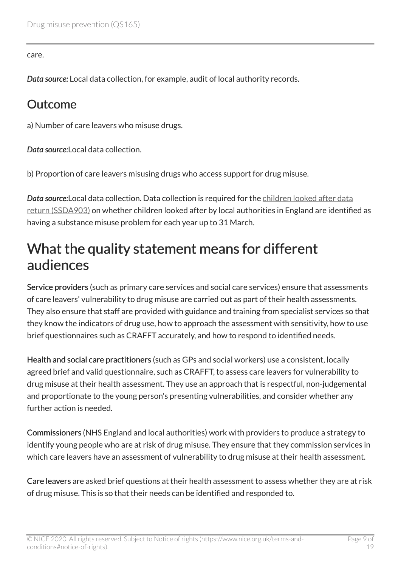care.

*Data source:* Local data collection, for example, audit of local authority records.

#### **Outcome**

a) Number of care leavers who misuse drugs.

*Data source:*Local data collection.

b) Proportion of care leavers misusing drugs who access support for drug misuse.

*Data source:*Local data collection. Data collection is required for the [children looked after data](https://www.gov.uk/government/publications/children-looked-after-return-2017-to-2018-guide) [return \(SSDA903\)](https://www.gov.uk/government/publications/children-looked-after-return-2017-to-2018-guide) on whether children looked after by local authorities in England are identified as having a substance misuse problem for each year up to 31 March.

### <span id="page-8-0"></span>What the quality statement means for different audiences

Service providers (such as primary care services and social care services) ensure that assessments of care leavers' vulnerability to drug misuse are carried out as part of their health assessments. They also ensure that staff are provided with guidance and training from specialist services so that they know the indicators of drug use, how to approach the assessment with sensitivity, how to use brief questionnaires such as CRAFFT accurately, and how to respond to identified needs.

Health and social care practitioners (such as GPs and social workers) use a consistent, locally agreed brief and valid questionnaire, such as CRAFFT, to assess care leavers for vulnerability to drug misuse at their health assessment. They use an approach that is respectful, non-judgemental and proportionate to the young person's presenting vulnerabilities, and consider whether any further action is needed.

Commissioners (NHS England and local authorities) work with providers to produce a strategy to identify young people who are at risk of drug misuse. They ensure that they commission services in which care leavers have an assessment of vulnerability to drug misuse at their health assessment.

Care leavers are asked brief questions at their health assessment to assess whether they are at risk of drug misuse. This is so that their needs can be identified and responded to.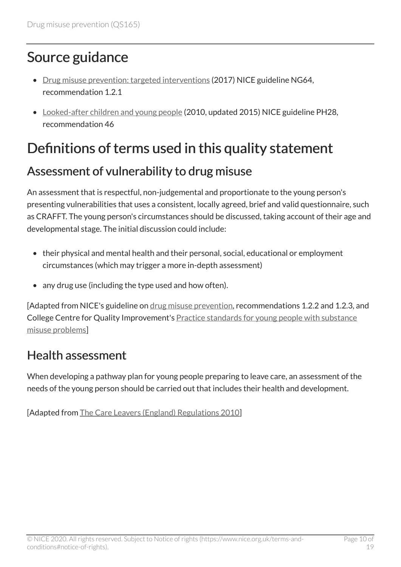### <span id="page-9-0"></span>Source guidance

- [Drug misuse prevention: targeted interventions](https://www.nice.org.uk/guidance/ng64) (2017) NICE guideline NG64, recommendation 1.2.1
- [Looked-after children and young people](https://www.nice.org.uk/guidance/ph28) (2010, updated 2015) NICE guideline PH28, recommendation 46

### <span id="page-9-1"></span>Definitions of terms used in this quality statement

#### Assessment of vulnerability to drug misuse

An assessment that is respectful, non-judgemental and proportionate to the young person's presenting vulnerabilities that uses a consistent, locally agreed, brief and valid questionnaire, such as CRAFFT. The young person's circumstances should be discussed, taking account of their age and developmental stage. The initial discussion could include:

- their physical and mental health and their personal, social, educational or employment circumstances (which may trigger a more in-depth assessment)
- any drug use (including the type used and how often).

[Adapted from NICE's guideline on [drug misuse prevention,](https://www.nice.org.uk/guidance/ng64) recommendations 1.2.2 and 1.2.3, and College Centre for Quality Improvement's **[Practice standards for young people with substance](https://www.rcpsych.ac.uk/improving-care/ccqi/quality-networks-accreditation/child-and-adolescent-community-teams-qncc/standards-and-publications)** [misuse problems\]](https://www.rcpsych.ac.uk/improving-care/ccqi/quality-networks-accreditation/child-and-adolescent-community-teams-qncc/standards-and-publications)

#### Health assessment

When developing a pathway plan for young people preparing to leave care, an assessment of the needs of the young person should be carried out that includes their health and development.

[Adapted from [The Care Leavers \(England\) Regulations 2010\]](http://www.legislation.gov.uk/uksi/2010/2571/contents/made)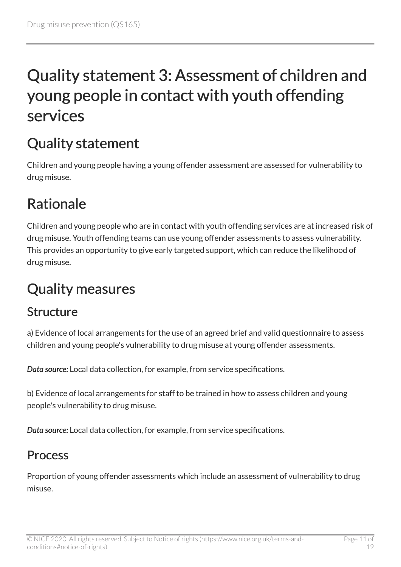# <span id="page-10-0"></span>Quality statement 3: Assessment of children and young people in contact with youth offending services

### <span id="page-10-1"></span>Quality statement

Children and young people having a young offender assessment are assessed for vulnerability to drug misuse.

### <span id="page-10-2"></span>Rationale

Children and young people who are in contact with youth offending services are at increased risk of drug misuse. Youth offending teams can use young offender assessments to assess vulnerability. This provides an opportunity to give early targeted support, which can reduce the likelihood of drug misuse.

### <span id="page-10-3"></span>Quality measures

#### Structure

a) Evidence of local arrangements for the use of an agreed brief and valid questionnaire to assess children and young people's vulnerability to drug misuse at young offender assessments.

*Data source:* Local data collection, for example, from service specifications.

b) Evidence of local arrangements for staff to be trained in how to assess children and young people's vulnerability to drug misuse.

*Data source:* Local data collection, for example, from service specifications.

#### **Process**

Proportion of young offender assessments which include an assessment of vulnerability to drug misuse.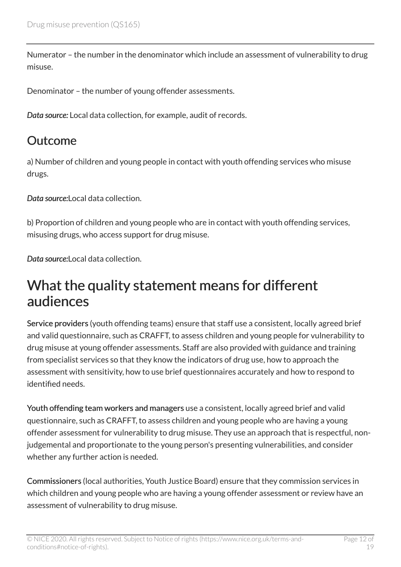Numerator – the number in the denominator which include an assessment of vulnerability to drug misuse.

Denominator – the number of young offender assessments.

*Data source:* Local data collection, for example, audit of records.

#### Outcome

a) Number of children and young people in contact with youth offending services who misuse drugs.

*Data source:*Local data collection.

b) Proportion of children and young people who are in contact with youth offending services, misusing drugs, who access support for drug misuse.

*Data source:*Local data collection.

#### <span id="page-11-0"></span>What the quality statement means for different audiences

Service providers (youth offending teams) ensure that staff use a consistent, locally agreed brief and valid questionnaire, such as CRAFFT, to assess children and young people for vulnerability to drug misuse at young offender assessments. Staff are also provided with guidance and training from specialist services so that they know the indicators of drug use, how to approach the assessment with sensitivity, how to use brief questionnaires accurately and how to respond to identified needs.

Youth offending team workers and managers use a consistent, locally agreed brief and valid questionnaire, such as CRAFFT, to assess children and young people who are having a young offender assessment for vulnerability to drug misuse. They use an approach that is respectful, nonjudgemental and proportionate to the young person's presenting vulnerabilities, and consider whether any further action is needed.

Commissioners (local authorities, Youth Justice Board) ensure that they commission services in which children and young people who are having a young offender assessment or review have an assessment of vulnerability to drug misuse.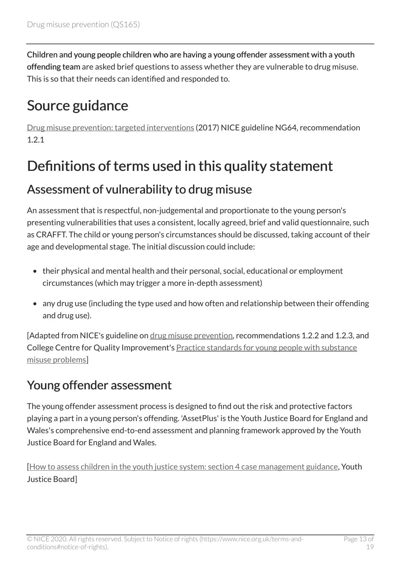Children and young people children who are having a young offender assessment with a youth offending team are asked brief questions to assess whether they are vulnerable to drug misuse. This is so that their needs can identified and responded to.

### <span id="page-12-0"></span>Source guidance

[Drug misuse prevention: targeted interventions](https://www.nice.org.uk/guidance/ng64) (2017) NICE guideline NG64, recommendation 1.2.1

### <span id="page-12-1"></span>Definitions of terms used in this quality statement

#### Assessment of vulnerability to drug misuse

An assessment that is respectful, non-judgemental and proportionate to the young person's presenting vulnerabilities that uses a consistent, locally agreed, brief and valid questionnaire, such as CRAFFT. The child or young person's circumstances should be discussed, taking account of their age and developmental stage. The initial discussion could include:

- their physical and mental health and their personal, social, educational or employment circumstances (which may trigger a more in-depth assessment)
- any drug use (including the type used and how often and relationship between their offending and drug use).

[Adapted from NICE's guideline on [drug misuse prevention,](https://www.nice.org.uk/guidance/ng64) recommendations 1.2.2 and 1.2.3, and College Centre for Quality Improvement's [Practice standards for young people with substance](https://www.rcpsych.ac.uk/improving-care/ccqi/quality-networks-accreditation/child-and-adolescent-community-teams-qncc/standards-and-publications) [misuse problems\]](https://www.rcpsych.ac.uk/improving-care/ccqi/quality-networks-accreditation/child-and-adolescent-community-teams-qncc/standards-and-publications)

#### Young offender assessment

The young offender assessment process is designed to find out the risk and protective factors playing a part in a young person's offending. 'AssetPlus' is the Youth Justice Board for England and Wales's comprehensive end-to-end assessment and planning framework approved by the Youth Justice Board for England and Wales.

[[How to assess children in the youth justice system: section 4 case management guidance,](https://www.gov.uk/government/publications/assess-young-offenders/assess-young-offenders-section-4-case-management-guidance) Youth Justice Board]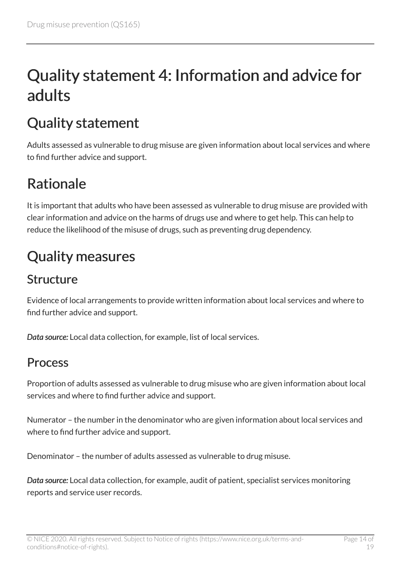# <span id="page-13-0"></span>Quality statement 4: Information and advice for adults

### <span id="page-13-1"></span>Quality statement

Adults assessed as vulnerable to drug misuse are given information about local services and where to find further advice and support.

### <span id="page-13-2"></span>Rationale

It is important that adults who have been assessed as vulnerable to drug misuse are provided with clear information and advice on the harms of drugs use and where to get help. This can help to reduce the likelihood of the misuse of drugs, such as preventing drug dependency.

### <span id="page-13-3"></span>Quality measures

#### Structure

Evidence of local arrangements to provide written information about local services and where to find further advice and support.

*Data source:* Local data collection, for example, list of local services.

#### **Process**

Proportion of adults assessed as vulnerable to drug misuse who are given information about local services and where to find further advice and support.

Numerator – the number in the denominator who are given information about local services and where to find further advice and support.

Denominator – the number of adults assessed as vulnerable to drug misuse.

*Data source:* Local data collection, for example, audit of patient, specialist services monitoring reports and service user records.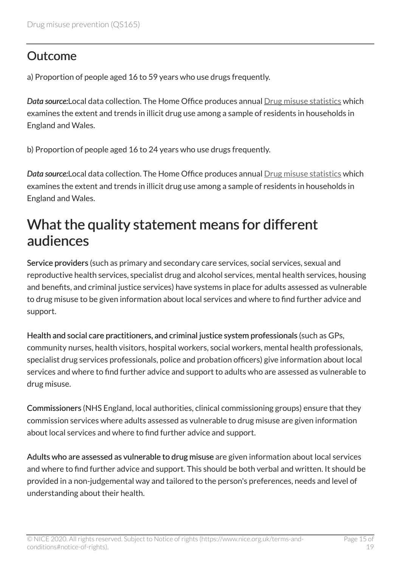#### **Outcome**

a) Proportion of people aged 16 to 59 years who use drugs frequently.

*Data source:*Local data collection. The Home Office produces annual [Drug misuse statistics](https://www.gov.uk/government/statistics/drug-misuse-findings-from-the-2016-to-2017-csew) which examines the extent and trends in illicit drug use among a sample of residents in households in England and Wales.

b) Proportion of people aged 16 to 24 years who use drugs frequently.

*Data source:*Local data collection. The Home Office produces annual [Drug misuse statistics](https://www.gov.uk/government/statistics/drug-misuse-findings-from-the-2016-to-2017-csew) which examines the extent and trends in illicit drug use among a sample of residents in households in England and Wales.

### <span id="page-14-0"></span>What the quality statement means for different audiences

Service providers (such as primary and secondary care services, social services, sexual and reproductive health services, specialist drug and alcohol services, mental health services, housing and benefits, and criminal justice services) have systems in place for adults assessed as vulnerable to drug misuse to be given information about local services and where to find further advice and support.

Health and social care practitioners, and criminal justice system professionals (such as GPs, community nurses, health visitors, hospital workers, social workers, mental health professionals, specialist drug services professionals, police and probation officers) give information about local services and where to find further advice and support to adults who are assessed as vulnerable to drug misuse.

Commissioners (NHS England, local authorities, clinical commissioning groups) ensure that they commission services where adults assessed as vulnerable to drug misuse are given information about local services and where to find further advice and support.

Adults who are assessed as vulnerable to drug misuse are given information about local services and where to find further advice and support. This should be both verbal and written. It should be provided in a non-judgemental way and tailored to the person's preferences, needs and level of understanding about their health.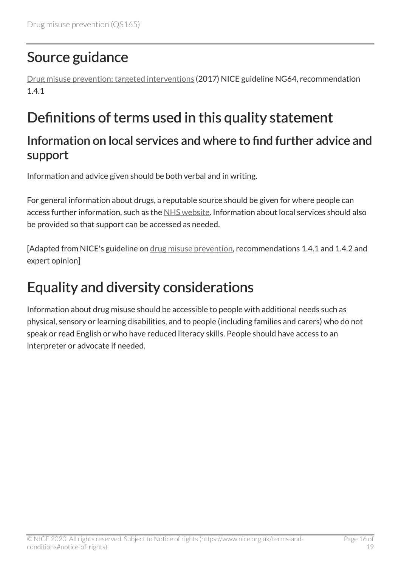### <span id="page-15-0"></span>Source guidance

[Drug misuse prevention: targeted interventions](https://www.nice.org.uk/guidance/ng64) (2017) NICE guideline NG64, recommendation 1.4.1

### <span id="page-15-1"></span>Definitions of terms used in this quality statement

#### Information on local services and where to find further advice and support

Information and advice given should be both verbal and in writing.

For general information about drugs, a reputable source should be given for where people can access further information, such as the [NHS website](https://www.nhs.uk/). Information about local services should also be provided so that support can be accessed as needed.

[Adapted from NICE's guideline on [drug misuse prevention,](https://www.nice.org.uk/guidance/ng64) recommendations 1.4.1 and 1.4.2 and expert opinion]

### <span id="page-15-2"></span>Equality and diversity considerations

Information about drug misuse should be accessible to people with additional needs such as physical, sensory or learning disabilities, and to people (including families and carers) who do not speak or read English or who have reduced literacy skills. People should have access to an interpreter or advocate if needed.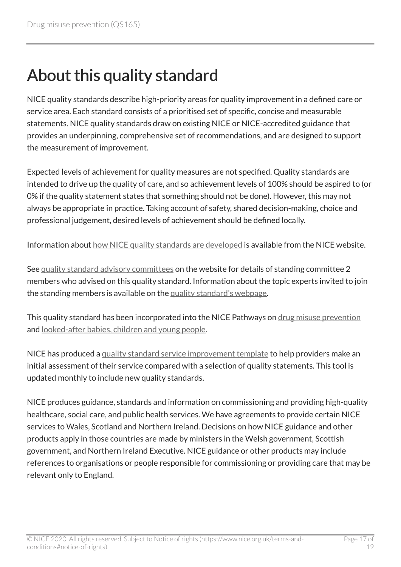# <span id="page-16-0"></span>About this quality standard

NICE quality standards describe high-priority areas for quality improvement in a defined care or service area. Each standard consists of a prioritised set of specific, concise and measurable statements. NICE quality standards draw on existing NICE or NICE-accredited guidance that provides an underpinning, comprehensive set of recommendations, and are designed to support the measurement of improvement.

Expected levels of achievement for quality measures are not specified. Quality standards are intended to drive up the quality of care, and so achievement levels of 100% should be aspired to (or 0% if the quality statement states that something should not be done). However, this may not always be appropriate in practice. Taking account of safety, shared decision-making, choice and professional judgement, desired levels of achievement should be defined locally.

Information about [how NICE quality standards are developed](https://www.nice.org.uk/standards-and-indicators/timeline-developing-quality-standards) is available from the NICE website.

See [quality standard advisory committees](http://www.nice.org.uk/Get-Involved/Meetings-in-public/Quality-Standards-Advisory-Committee) on the website for details of standing committee 2 members who advised on this quality standard. Information about the topic experts invited to join the standing members is available on the [quality standard's webpage](http://www.nice.org.uk/guidance/qs165/documents).

This quality standard has been incorporated into the NICE Pathways on [drug misuse prevention](https://pathways.nice.org.uk/pathways/drug-misuse-prevention)  and [looked-after babies, children and young people](https://pathways.nice.org.uk/pathways/looked-after-babies-children-and-young-people).

NICE has produced a [quality standard service improvement template](http://www.nice.org.uk/guidance/qs165/resources) to help providers make an initial assessment of their service compared with a selection of quality statements. This tool is updated monthly to include new quality standards.

NICE produces guidance, standards and information on commissioning and providing high-quality healthcare, social care, and public health services. We have agreements to provide certain NICE services to Wales, Scotland and Northern Ireland. Decisions on how NICE guidance and other products apply in those countries are made by ministers in the Welsh government, Scottish government, and Northern Ireland Executive. NICE guidance or other products may include references to organisations or people responsible for commissioning or providing care that may be relevant only to England.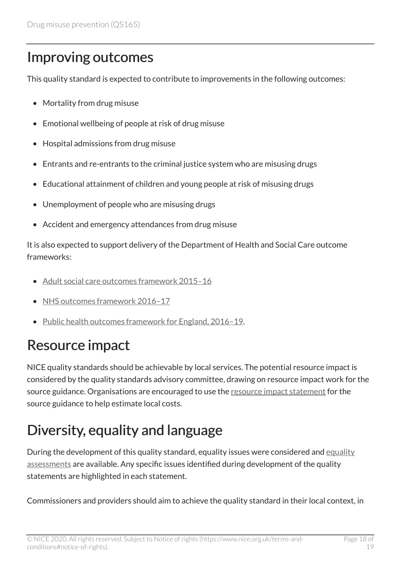### <span id="page-17-0"></span>Improving outcomes

This quality standard is expected to contribute to improvements in the following outcomes:

- Mortality from drug misuse
- Emotional wellbeing of people at risk of drug misuse
- Hospital admissions from drug misuse
- Entrants and re-entrants to the criminal justice system who are misusing drugs
- Educational attainment of children and young people at risk of misusing drugs
- Unemployment of people who are misusing drugs
- Accident and emergency attendances from drug misuse

It is also expected to support delivery of the Department of Health and Social Care outcome frameworks:

- [Adult social care outcomes framework 2015–16](https://www.gov.uk/government/publications/adult-social-care-outcomes-framework-ascof-2015-to-2016)
- [NHS outcomes framework 2016–17](https://www.gov.uk/government/publications/nhs-outcomes-framework-2016-to-2017)
- [Public health outcomes framework for England, 2016–19](https://www.gov.uk/government/publications/public-health-outcomes-framework-2016-to-2019).

### <span id="page-17-1"></span>Resource impact

NICE quality standards should be achievable by local services. The potential resource impact is considered by the quality standards advisory committee, drawing on resource impact work for the source guidance. Organisations are encouraged to use the [resource impact statement](https://www.nice.org.uk/guidance/NG64/resources) for the source guidance to help estimate local costs.

## <span id="page-17-2"></span>Diversity, equality and language

During the development of this quality standard, [equality](https://www.nice.org.uk/guidance/QS165/documents) issues were considered and equality [assessments](https://www.nice.org.uk/guidance/QS165/documents) are available. Any specific issues identified during development of the quality statements are highlighted in each statement.

Commissioners and providers should aim to achieve the quality standard in their local context, in